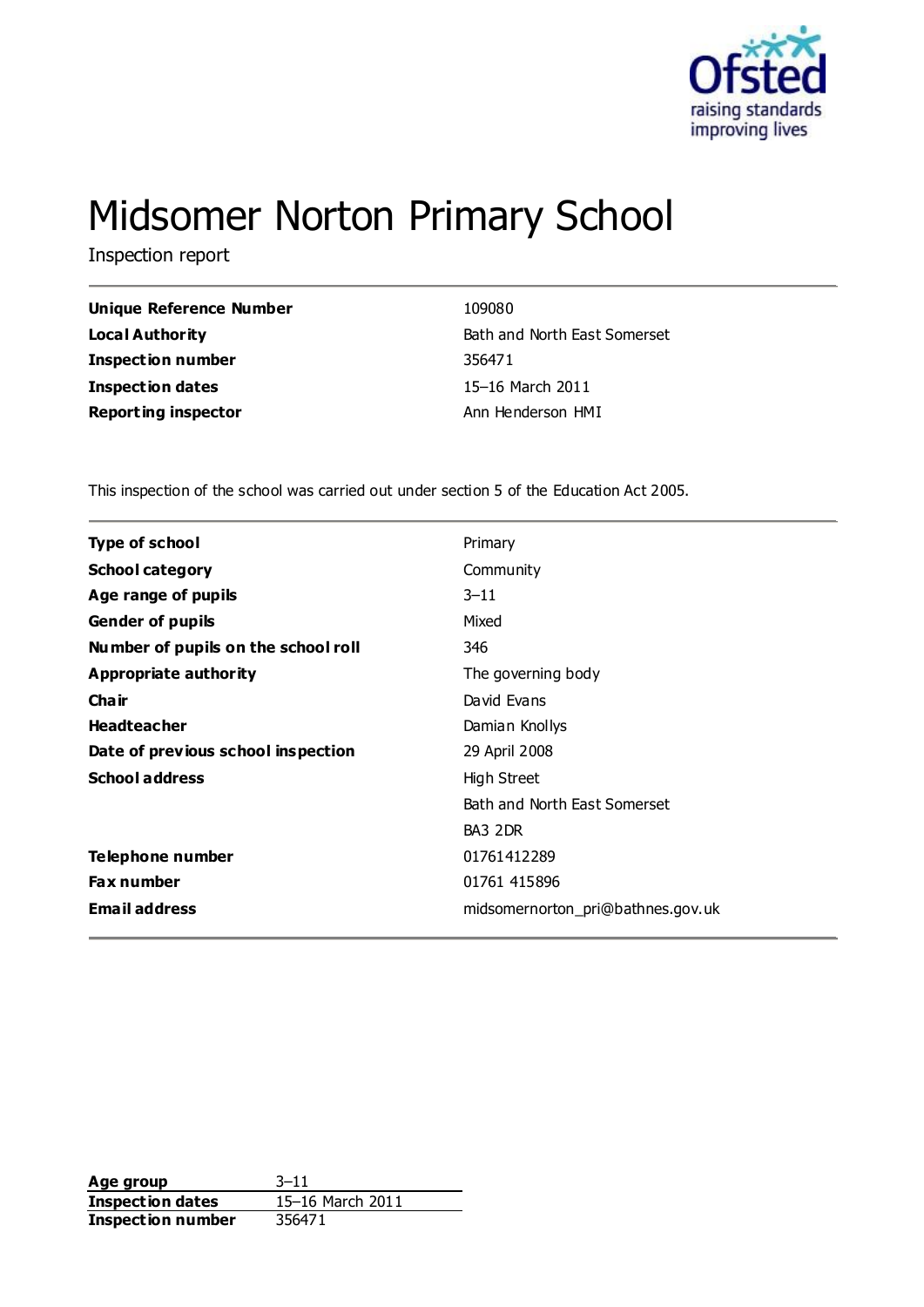

# Midsomer Norton Primary School

Inspection report

| Unique Reference Number    | 109080                       |
|----------------------------|------------------------------|
| Local Authority            | Bath and North East Somerset |
| Inspection number          | 356471                       |
| Inspection dates           | 15-16 March 2011             |
| <b>Reporting inspector</b> | Ann Henderson HMI            |
|                            |                              |

This inspection of the school was carried out under section 5 of the Education Act 2005.

| <b>Type of school</b>               | Primary                           |
|-------------------------------------|-----------------------------------|
| <b>School category</b>              | Community                         |
| Age range of pupils                 | $3 - 11$                          |
| <b>Gender of pupils</b>             | Mixed                             |
| Number of pupils on the school roll | 346                               |
| <b>Appropriate authority</b>        | The governing body                |
| Cha ir                              | David Evans                       |
| <b>Headteacher</b>                  | Damian Knollys                    |
| Date of previous school inspection  | 29 April 2008                     |
| <b>School address</b>               | High Street                       |
|                                     | Bath and North East Somerset      |
|                                     | BA3 2DR                           |
| Telephone number                    | 01761412289                       |
| <b>Fax number</b>                   | 01761 415896                      |
| <b>Email address</b>                | midsomernorton_pri@bathnes.gov.uk |

**Age group** 3-11<br> **Inspection dates** 15-16 March 2011 **Inspection dates Inspection number** 356471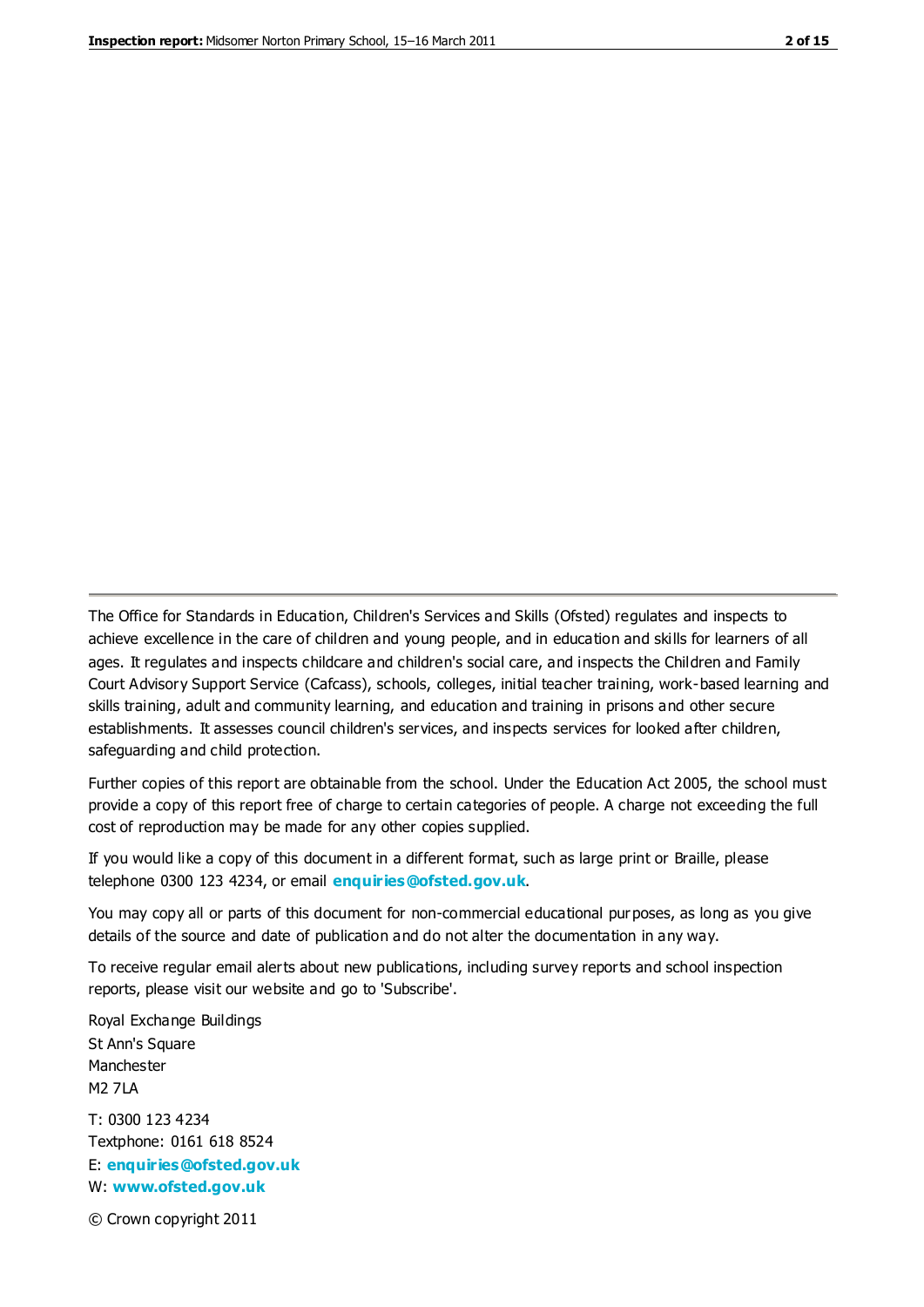The Office for Standards in Education, Children's Services and Skills (Ofsted) regulates and inspects to achieve excellence in the care of children and young people, and in education and skills for learners of all ages. It regulates and inspects childcare and children's social care, and inspects the Children and Family Court Advisory Support Service (Cafcass), schools, colleges, initial teacher training, work-based learning and skills training, adult and community learning, and education and training in prisons and other secure establishments. It assesses council children's services, and inspects services for looked after children, safeguarding and child protection.

Further copies of this report are obtainable from the school. Under the Education Act 2005, the school must provide a copy of this report free of charge to certain categories of people. A charge not exceeding the full cost of reproduction may be made for any other copies supplied.

If you would like a copy of this document in a different format, such as large print or Braille, please telephone 0300 123 4234, or email **[enquiries@ofsted.gov.uk](mailto:enquiries@ofsted.gov.uk)**.

You may copy all or parts of this document for non-commercial educational purposes, as long as you give details of the source and date of publication and do not alter the documentation in any way.

To receive regular email alerts about new publications, including survey reports and school inspection reports, please visit our website and go to 'Subscribe'.

Royal Exchange Buildings St Ann's Square Manchester M2 7LA T: 0300 123 4234 Textphone: 0161 618 8524 E: **[enquiries@ofsted.gov.uk](mailto:enquiries@ofsted.gov.uk)**

W: **[www.ofsted.gov.uk](http://www.ofsted.gov.uk/)**

© Crown copyright 2011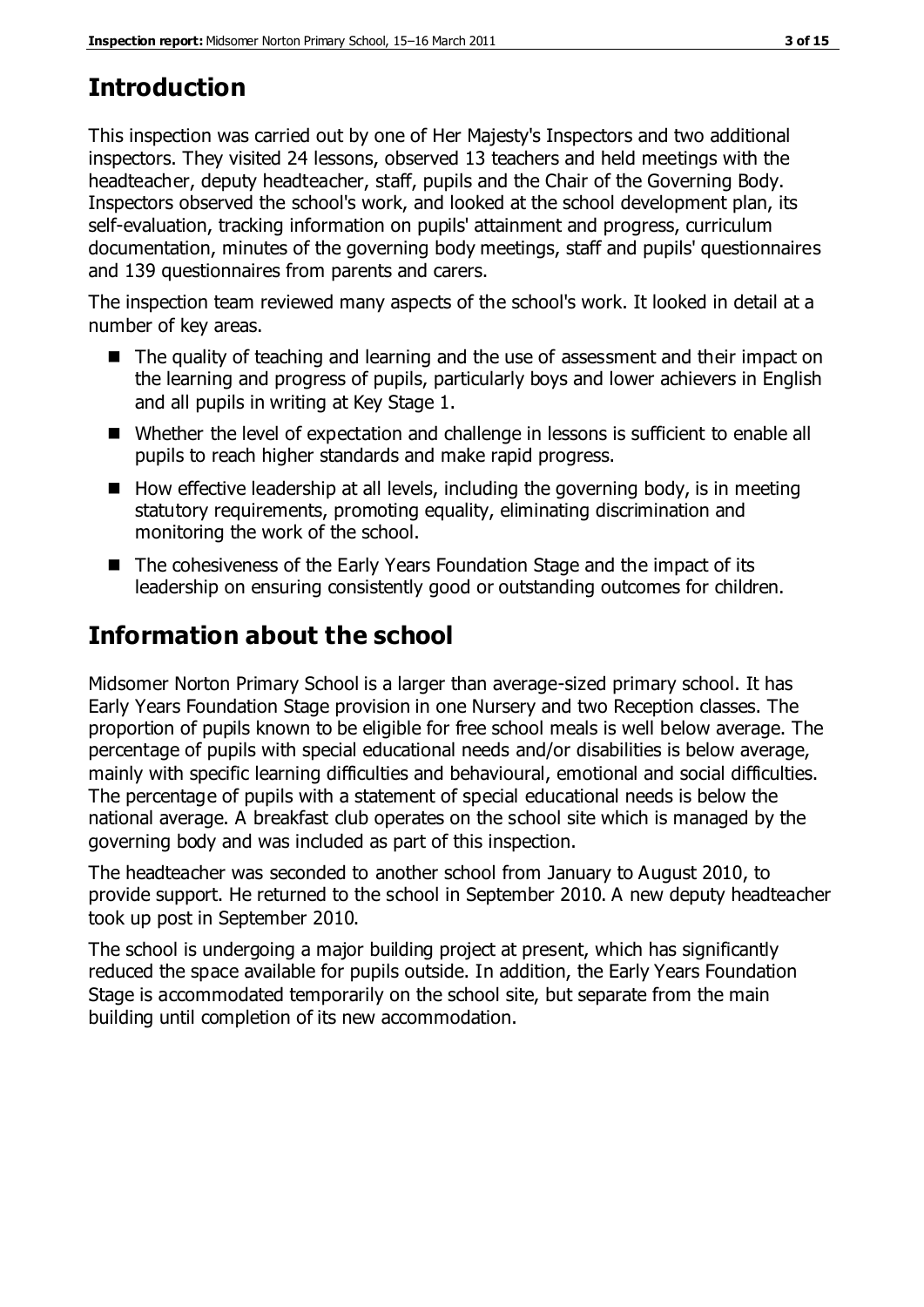## **Introduction**

This inspection was carried out by one of Her Majesty's Inspectors and two additional inspectors. They visited 24 lessons, observed 13 teachers and held meetings with the headteacher, deputy headteacher, staff, pupils and the Chair of the Governing Body. Inspectors observed the school's work, and looked at the school development plan, its self-evaluation, tracking information on pupils' attainment and progress, curriculum documentation, minutes of the governing body meetings, staff and pupils' questionnaires and 139 questionnaires from parents and carers.

The inspection team reviewed many aspects of the school's work. It looked in detail at a number of key areas.

- The quality of teaching and learning and the use of assessment and their impact on the learning and progress of pupils, particularly boys and lower achievers in English and all pupils in writing at Key Stage 1.
- Whether the level of expectation and challenge in lessons is sufficient to enable all pupils to reach higher standards and make rapid progress.
- $\blacksquare$  How effective leadership at all levels, including the governing body, is in meeting statutory requirements, promoting equality, eliminating discrimination and monitoring the work of the school.
- The cohesiveness of the Early Years Foundation Stage and the impact of its leadership on ensuring consistently good or outstanding outcomes for children.

## **Information about the school**

Midsomer Norton Primary School is a larger than average-sized primary school. It has Early Years Foundation Stage provision in one Nursery and two Reception classes. The proportion of pupils known to be eligible for free school meals is well below average. The percentage of pupils with special educational needs and/or disabilities is below average, mainly with specific learning difficulties and behavioural, emotional and social difficulties. The percentage of pupils with a statement of special educational needs is below the national average. A breakfast club operates on the school site which is managed by the governing body and was included as part of this inspection.

The headteacher was seconded to another school from January to August 2010, to provide support. He returned to the school in September 2010. A new deputy headteacher took up post in September 2010.

The school is undergoing a major building project at present, which has significantly reduced the space available for pupils outside. In addition, the Early Years Foundation Stage is accommodated temporarily on the school site, but separate from the main building until completion of its new accommodation.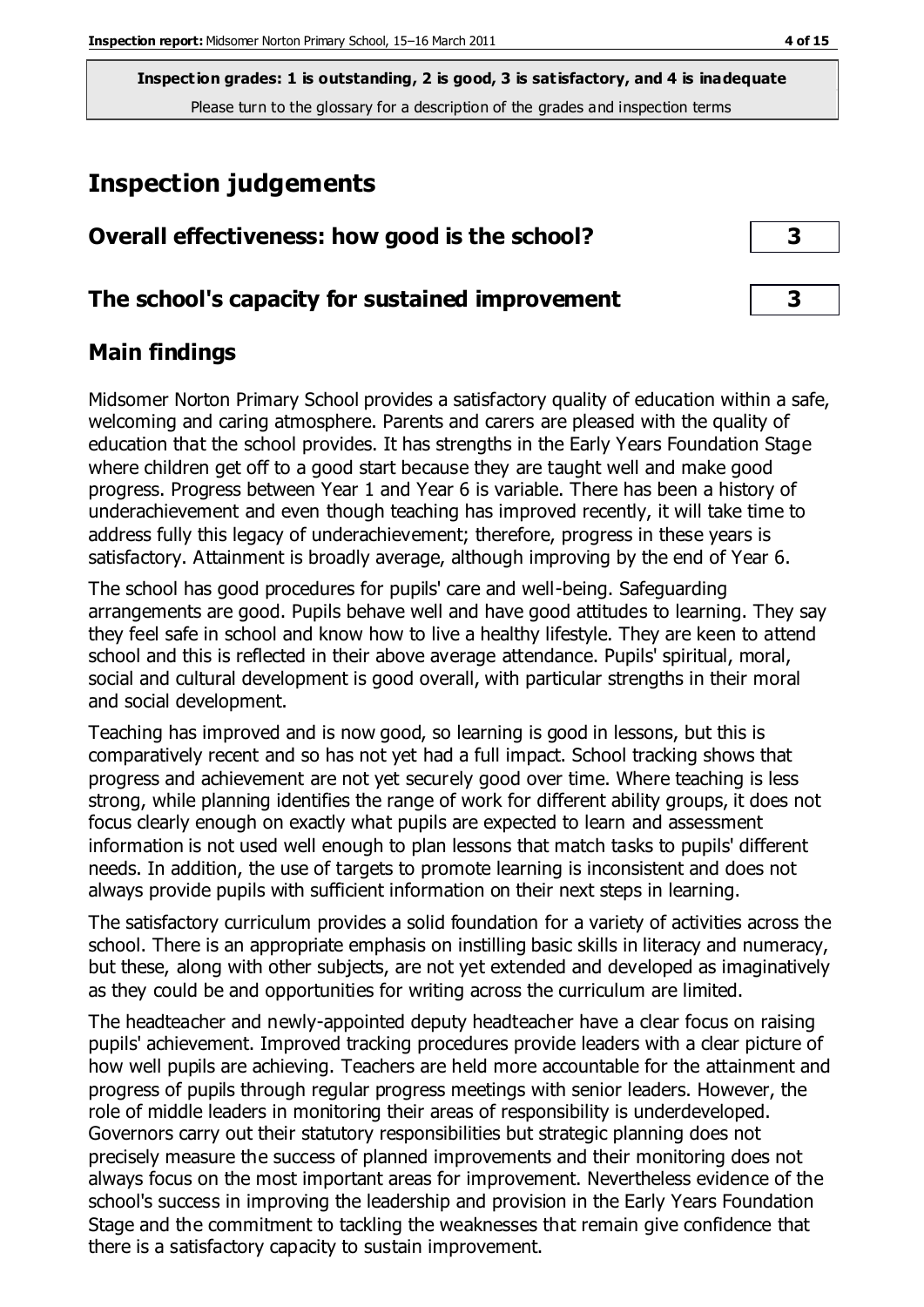## **Inspection judgements**

| Overall effectiveness: how good is the school?  |  |
|-------------------------------------------------|--|
| The school's capacity for sustained improvement |  |

## **Main findings**

Midsomer Norton Primary School provides a satisfactory quality of education within a safe, welcoming and caring atmosphere. Parents and carers are pleased with the quality of education that the school provides. It has strengths in the Early Years Foundation Stage where children get off to a good start because they are taught well and make good progress. Progress between Year 1 and Year 6 is variable. There has been a history of underachievement and even though teaching has improved recently, it will take time to address fully this legacy of underachievement; therefore, progress in these years is satisfactory. Attainment is broadly average, although improving by the end of Year 6.

The school has good procedures for pupils' care and well-being. Safeguarding arrangements are good. Pupils behave well and have good attitudes to learning. They say they feel safe in school and know how to live a healthy lifestyle. They are keen to attend school and this is reflected in their above average attendance. Pupils' spiritual, moral, social and cultural development is good overall, with particular strengths in their moral and social development.

Teaching has improved and is now good, so learning is good in lessons, but this is comparatively recent and so has not yet had a full impact. School tracking shows that progress and achievement are not yet securely good over time. Where teaching is less strong, while planning identifies the range of work for different ability groups, it does not focus clearly enough on exactly what pupils are expected to learn and assessment information is not used well enough to plan lessons that match tasks to pupils' different needs. In addition, the use of targets to promote learning is inconsistent and does not always provide pupils with sufficient information on their next steps in learning.

The satisfactory curriculum provides a solid foundation for a variety of activities across the school. There is an appropriate emphasis on instilling basic skills in literacy and numeracy, but these, along with other subjects, are not yet extended and developed as imaginatively as they could be and opportunities for writing across the curriculum are limited.

The headteacher and newly-appointed deputy headteacher have a clear focus on raising pupils' achievement. Improved tracking procedures provide leaders with a clear picture of how well pupils are achieving. Teachers are held more accountable for the attainment and progress of pupils through regular progress meetings with senior leaders. However, the role of middle leaders in monitoring their areas of responsibility is underdeveloped. Governors carry out their statutory responsibilities but strategic planning does not precisely measure the success of planned improvements and their monitoring does not always focus on the most important areas for improvement. Nevertheless evidence of the school's success in improving the leadership and provision in the Early Years Foundation Stage and the commitment to tackling the weaknesses that remain give confidence that there is a satisfactory capacity to sustain improvement.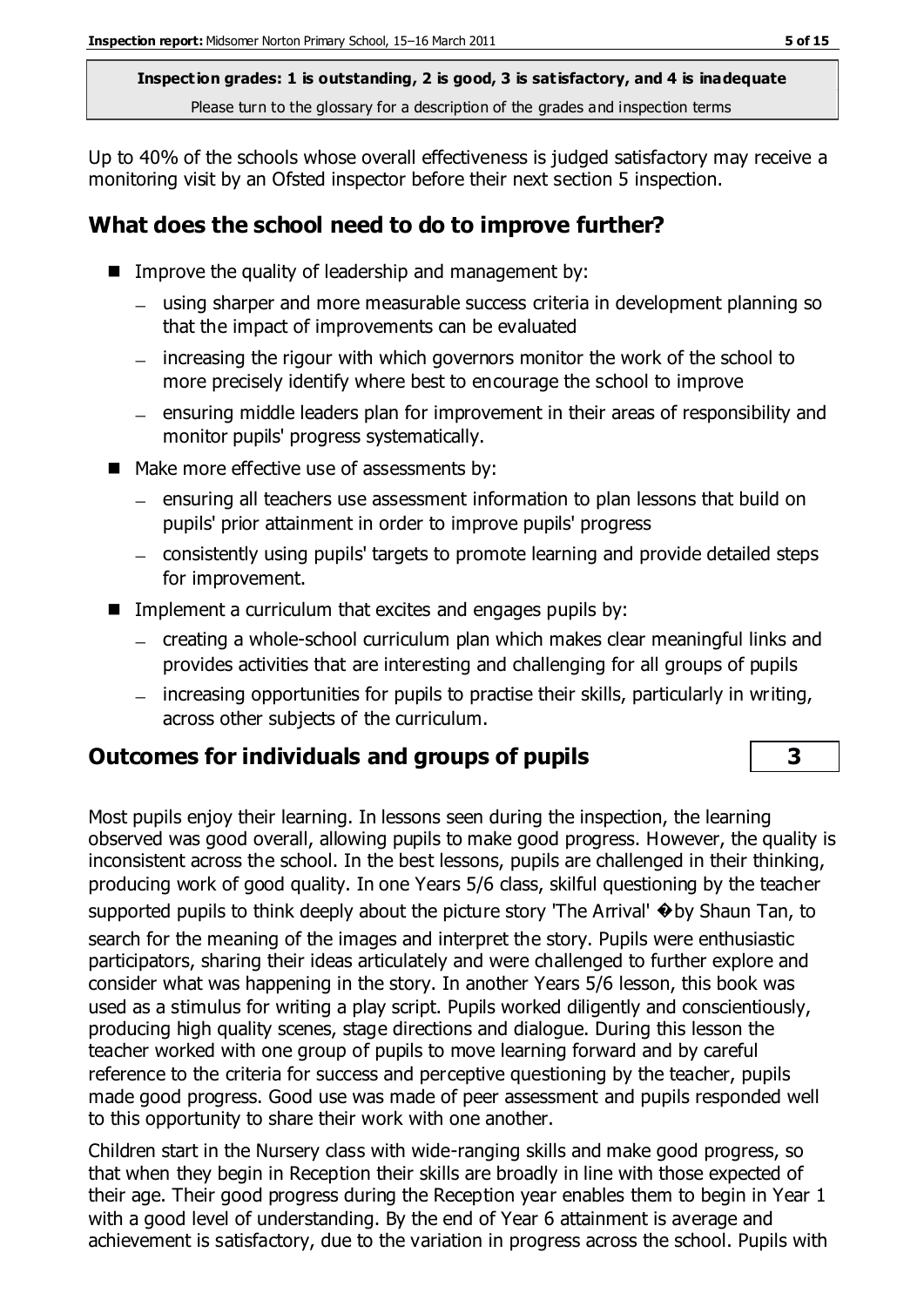Up to 40% of the schools whose overall effectiveness is judged satisfactory may receive a monitoring visit by an Ofsted inspector before their next section 5 inspection.

## **What does the school need to do to improve further?**

- **IMPROVE THE QUALITY OF leadership and management by:** 
	- using sharper and more measurable success criteria in development planning so that the impact of improvements can be evaluated
	- increasing the rigour with which governors monitor the work of the school to more precisely identify where best to encourage the school to improve
	- ensuring middle leaders plan for improvement in their areas of responsibility and monitor pupils' progress systematically.
- Make more effective use of assessments by:
	- ensuring all teachers use assessment information to plan lessons that build on pupils' prior attainment in order to improve pupils' progress
	- consistently using pupils' targets to promote learning and provide detailed steps for improvement.
- **IMPLEMENTE:** Implement a curriculum that excites and engages pupils by:
	- creating a whole-school curriculum plan which makes clear meaningful links and provides activities that are interesting and challenging for all groups of pupils
	- increasing opportunities for pupils to practise their skills, particularly in writing, across other subjects of the curriculum.

## **Outcomes for individuals and groups of pupils 3**

Most pupils enjoy their learning. In lessons seen during the inspection, the learning observed was good overall, allowing pupils to make good progress. However, the quality is inconsistent across the school. In the best lessons, pupils are challenged in their thinking, producing work of good quality. In one Years 5/6 class, skilful questioning by the teacher supported pupils to think deeply about the picture story 'The Arrival'  $\bullet$  by Shaun Tan, to search for the meaning of the images and interpret the story. Pupils were enthusiastic participators, sharing their ideas articulately and were challenged to further explore and consider what was happening in the story. In another Years 5/6 lesson, this book was used as a stimulus for writing a play script. Pupils worked diligently and conscientiously, producing high quality scenes, stage directions and dialogue. During this lesson the teacher worked with one group of pupils to move learning forward and by careful reference to the criteria for success and perceptive questioning by the teacher, pupils made good progress. Good use was made of peer assessment and pupils responded well to this opportunity to share their work with one another.

Children start in the Nursery class with wide-ranging skills and make good progress, so that when they begin in Reception their skills are broadly in line with those expected of their age. Their good progress during the Reception year enables them to begin in Year 1 with a good level of understanding. By the end of Year 6 attainment is average and achievement is satisfactory, due to the variation in progress across the school. Pupils with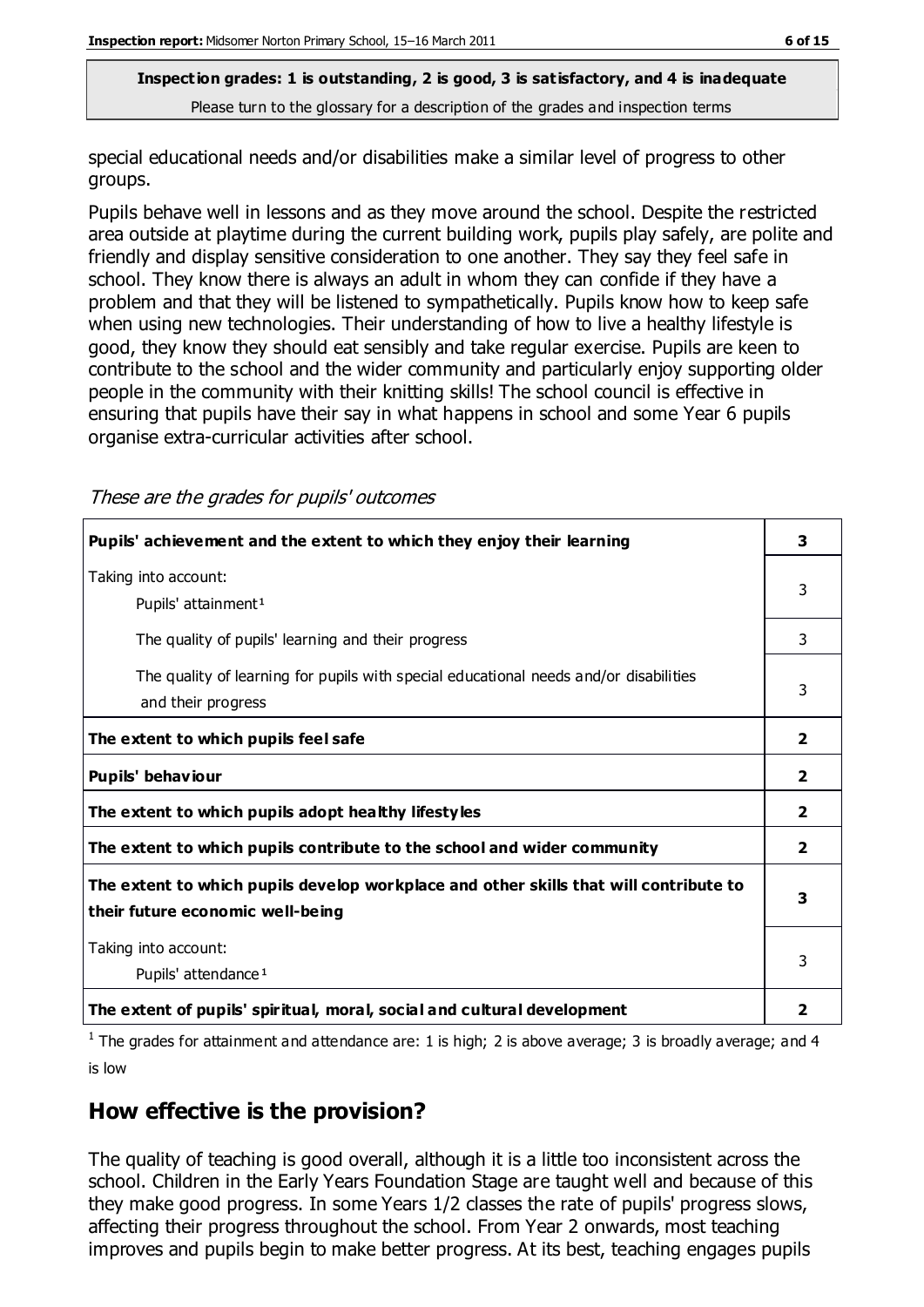special educational needs and/or disabilities make a similar level of progress to other groups.

Pupils behave well in lessons and as they move around the school. Despite the restricted area outside at playtime during the current building work, pupils play safely, are polite and friendly and display sensitive consideration to one another. They say they feel safe in school. They know there is always an adult in whom they can confide if they have a problem and that they will be listened to sympathetically. Pupils know how to keep safe when using new technologies. Their understanding of how to live a healthy lifestyle is good, they know they should eat sensibly and take regular exercise. Pupils are keen to contribute to the school and the wider community and particularly enjoy supporting older people in the community with their knitting skills! The school council is effective in ensuring that pupils have their say in what happens in school and some Year 6 pupils organise extra-curricular activities after school.

These are the grades for pupils' outcomes

| Pupils' achievement and the extent to which they enjoy their learning                                                     | 3              |
|---------------------------------------------------------------------------------------------------------------------------|----------------|
| Taking into account:<br>Pupils' attainment <sup>1</sup>                                                                   | 3              |
| The quality of pupils' learning and their progress                                                                        | 3              |
| The quality of learning for pupils with special educational needs and/or disabilities<br>and their progress               | 3              |
| The extent to which pupils feel safe                                                                                      | $\mathbf{2}$   |
| Pupils' behaviour                                                                                                         | 2              |
| The extent to which pupils adopt healthy lifestyles                                                                       | 2              |
| The extent to which pupils contribute to the school and wider community                                                   | $\overline{2}$ |
| The extent to which pupils develop workplace and other skills that will contribute to<br>their future economic well-being | 3              |
| Taking into account:<br>Pupils' attendance <sup>1</sup>                                                                   | 3              |
| The extent of pupils' spiritual, moral, social and cultural development                                                   | 2              |

<sup>1</sup> The grades for attainment and attendance are: 1 is high; 2 is above average; 3 is broadly average; and 4 is low

## **How effective is the provision?**

The quality of teaching is good overall, although it is a little too inconsistent across the school. Children in the Early Years Foundation Stage are taught well and because of this they make good progress. In some Years 1/2 classes the rate of pupils' progress slows, affecting their progress throughout the school. From Year 2 onwards, most teaching improves and pupils begin to make better progress. At its best, teaching engages pupils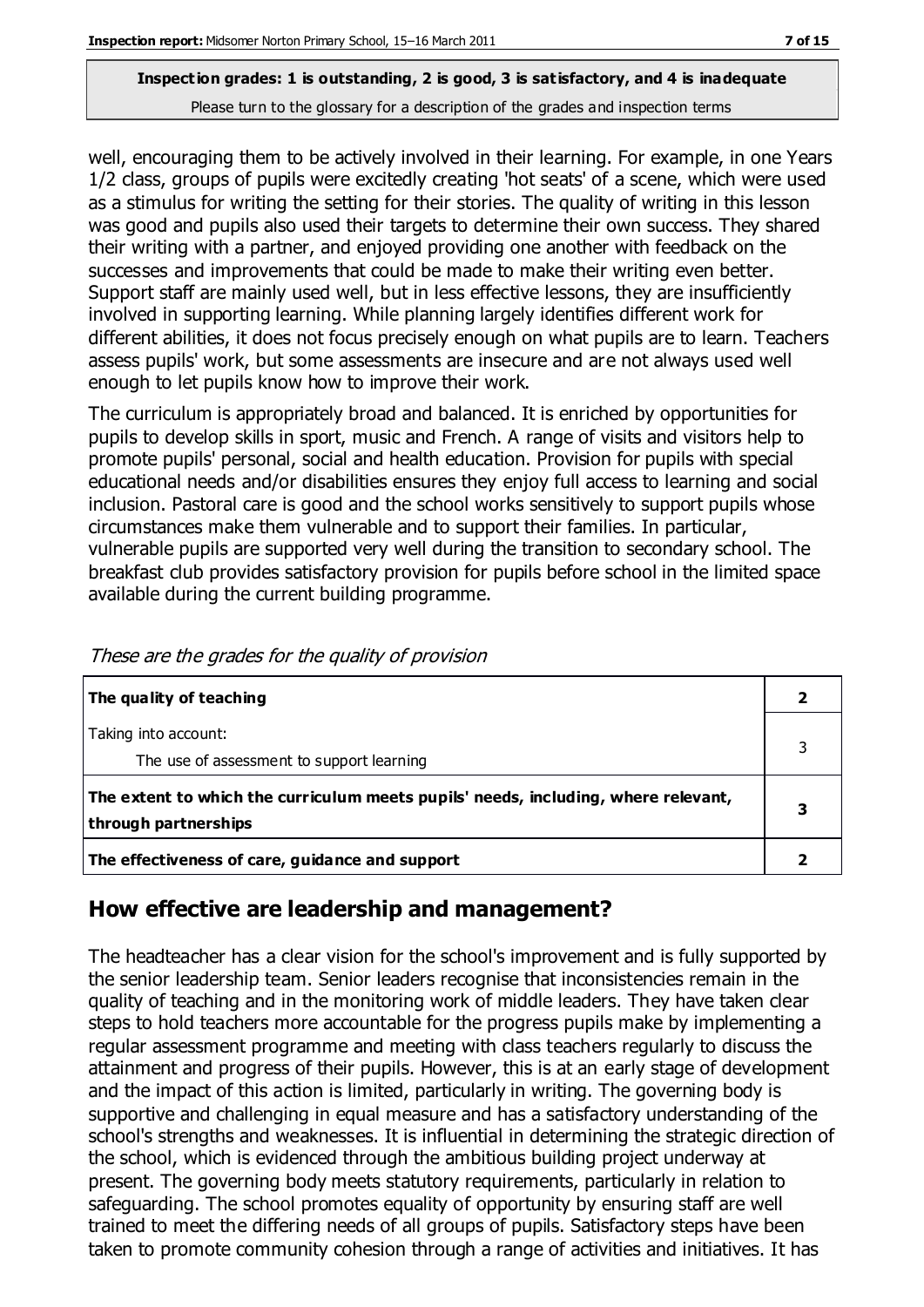well, encouraging them to be actively involved in their learning. For example, in one Years 1/2 class, groups of pupils were excitedly creating 'hot seats' of a scene, which were used as a stimulus for writing the setting for their stories. The quality of writing in this lesson was good and pupils also used their targets to determine their own success. They shared their writing with a partner, and enjoyed providing one another with feedback on the successes and improvements that could be made to make their writing even better. Support staff are mainly used well, but in less effective lessons, they are insufficiently involved in supporting learning. While planning largely identifies different work for different abilities, it does not focus precisely enough on what pupils are to learn. Teachers assess pupils' work, but some assessments are insecure and are not always used well enough to let pupils know how to improve their work.

The curriculum is appropriately broad and balanced. It is enriched by opportunities for pupils to develop skills in sport, music and French. A range of visits and visitors help to promote pupils' personal, social and health education. Provision for pupils with special educational needs and/or disabilities ensures they enjoy full access to learning and social inclusion. Pastoral care is good and the school works sensitively to support pupils whose circumstances make them vulnerable and to support their families. In particular, vulnerable pupils are supported very well during the transition to secondary school. The breakfast club provides satisfactory provision for pupils before school in the limited space available during the current building programme.

| The quality of teaching                                                                                    |  |
|------------------------------------------------------------------------------------------------------------|--|
| Taking into account:<br>The use of assessment to support learning                                          |  |
| The extent to which the curriculum meets pupils' needs, including, where relevant,<br>through partnerships |  |
| The effectiveness of care, guidance and support                                                            |  |

These are the grades for the quality of provision

## **How effective are leadership and management?**

The headteacher has a clear vision for the school's improvement and is fully supported by the senior leadership team. Senior leaders recognise that inconsistencies remain in the quality of teaching and in the monitoring work of middle leaders. They have taken clear steps to hold teachers more accountable for the progress pupils make by implementing a regular assessment programme and meeting with class teachers regularly to discuss the attainment and progress of their pupils. However, this is at an early stage of development and the impact of this action is limited, particularly in writing. The governing body is supportive and challenging in equal measure and has a satisfactory understanding of the school's strengths and weaknesses. It is influential in determining the strategic direction of the school, which is evidenced through the ambitious building project underway at present. The governing body meets statutory requirements, particularly in relation to safeguarding. The school promotes equality of opportunity by ensuring staff are well trained to meet the differing needs of all groups of pupils. Satisfactory steps have been taken to promote community cohesion through a range of activities and initiatives. It has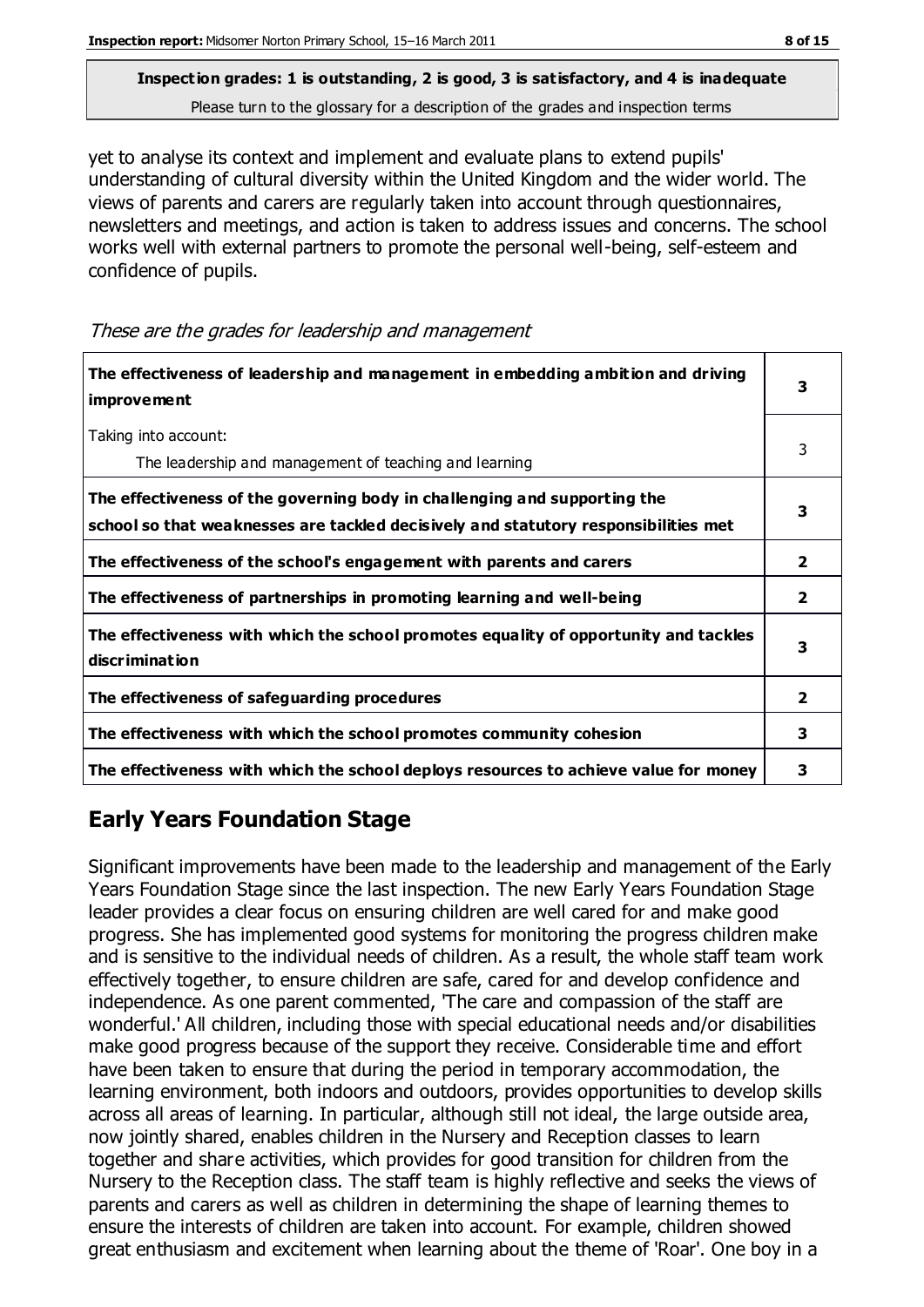## **Inspection grades: 1 is outstanding, 2 is good, 3 is satisfactory, and 4 is inadequate**

Please turn to the glossary for a description of the grades and inspection terms

yet to analyse its context and implement and evaluate plans to extend pupils' understanding of cultural diversity within the United Kingdom and the wider world. The views of parents and carers are regularly taken into account through questionnaires, newsletters and meetings, and action is taken to address issues and concerns. The school works well with external partners to promote the personal well-being, self-esteem and confidence of pupils.

These are the grades for leadership and management

| The effectiveness of leadership and management in embedding ambition and driving<br>improvement                                                                  |                |
|------------------------------------------------------------------------------------------------------------------------------------------------------------------|----------------|
| Taking into account:<br>The leadership and management of teaching and learning                                                                                   | 3              |
| The effectiveness of the governing body in challenging and supporting the<br>school so that weaknesses are tackled decisively and statutory responsibilities met | 3              |
| The effectiveness of the school's engagement with parents and carers                                                                                             | 2              |
| The effectiveness of partnerships in promoting learning and well-being                                                                                           | $\overline{2}$ |
| The effectiveness with which the school promotes equality of opportunity and tackles<br>discrimination                                                           | 3              |
| The effectiveness of safeguarding procedures                                                                                                                     | 2              |
| The effectiveness with which the school promotes community cohesion                                                                                              | 3              |
| The effectiveness with which the school deploys resources to achieve value for money                                                                             | з              |

## **Early Years Foundation Stage**

Significant improvements have been made to the leadership and management of the Early Years Foundation Stage since the last inspection. The new Early Years Foundation Stage leader provides a clear focus on ensuring children are well cared for and make good progress. She has implemented good systems for monitoring the progress children make and is sensitive to the individual needs of children. As a result, the whole staff team work effectively together, to ensure children are safe, cared for and develop confidence and independence. As one parent commented, 'The care and compassion of the staff are wonderful.' All children, including those with special educational needs and/or disabilities make good progress because of the support they receive. Considerable time and effort have been taken to ensure that during the period in temporary accommodation, the learning environment, both indoors and outdoors, provides opportunities to develop skills across all areas of learning. In particular, although still not ideal, the large outside area, now jointly shared, enables children in the Nursery and Reception classes to learn together and share activities, which provides for good transition for children from the Nursery to the Reception class. The staff team is highly reflective and seeks the views of parents and carers as well as children in determining the shape of learning themes to ensure the interests of children are taken into account. For example, children showed great enthusiasm and excitement when learning about the theme of 'Roar'. One boy in a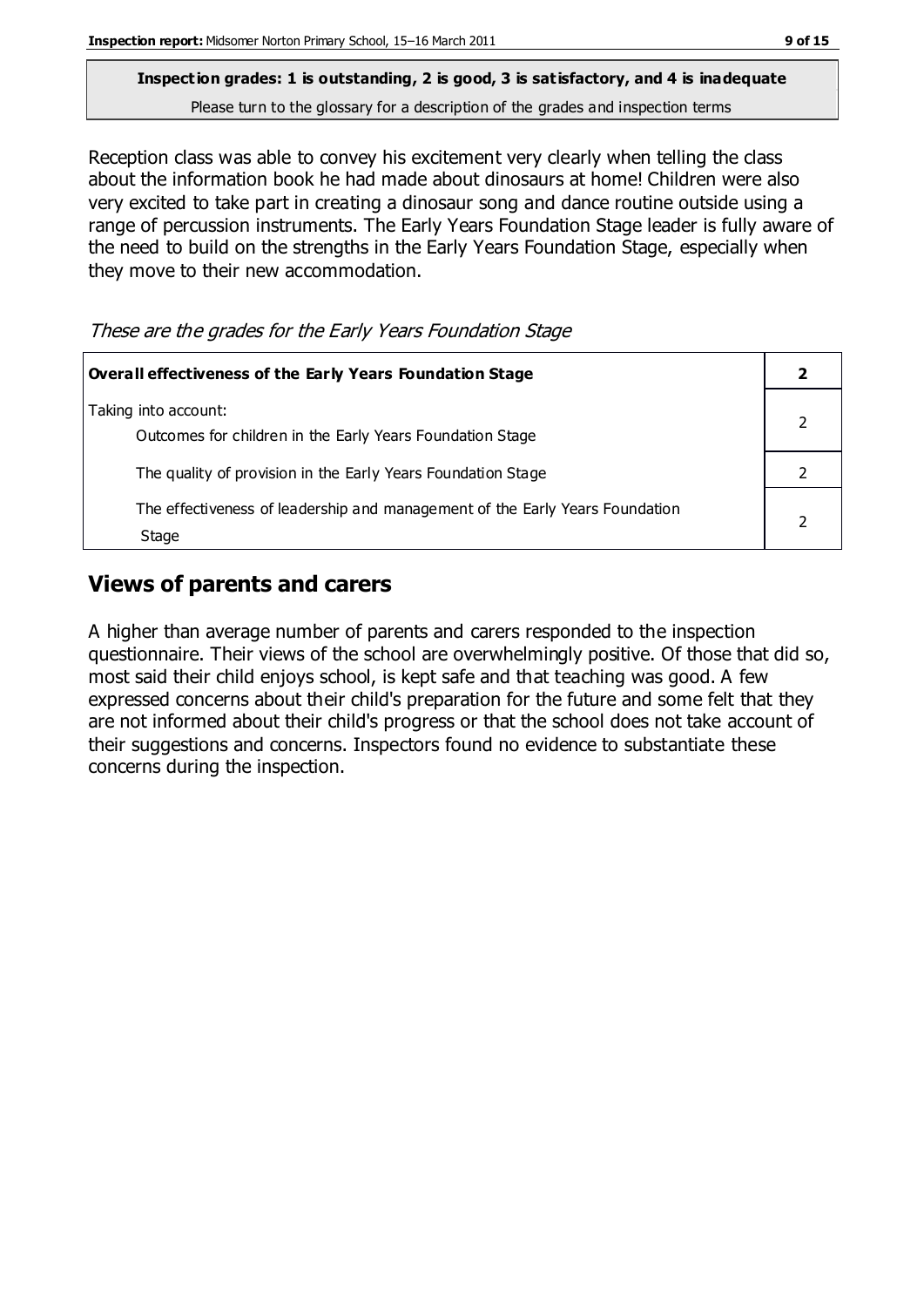# **Inspection grades: 1 is outstanding, 2 is good, 3 is satisfactory, and 4 is inadequate**

Please turn to the glossary for a description of the grades and inspection terms

Reception class was able to convey his excitement very clearly when telling the class about the information book he had made about dinosaurs at home! Children were also very excited to take part in creating a dinosaur song and dance routine outside using a range of percussion instruments. The Early Years Foundation Stage leader is fully aware of the need to build on the strengths in the Early Years Foundation Stage, especially when they move to their new accommodation.

| These are the grades for the Early Years Foundation Stage |  |  |  |
|-----------------------------------------------------------|--|--|--|
|                                                           |  |  |  |

| Overall effectiveness of the Early Years Foundation Stage                             |  |  |
|---------------------------------------------------------------------------------------|--|--|
| Taking into account:<br>Outcomes for children in the Early Years Foundation Stage     |  |  |
| The quality of provision in the Early Years Foundation Stage                          |  |  |
| The effectiveness of leadership and management of the Early Years Foundation<br>Stage |  |  |

#### **Views of parents and carers**

A higher than average number of parents and carers responded to the inspection questionnaire. Their views of the school are overwhelmingly positive. Of those that did so, most said their child enjoys school, is kept safe and that teaching was good. A few expressed concerns about their child's preparation for the future and some felt that they are not informed about their child's progress or that the school does not take account of their suggestions and concerns. Inspectors found no evidence to substantiate these concerns during the inspection.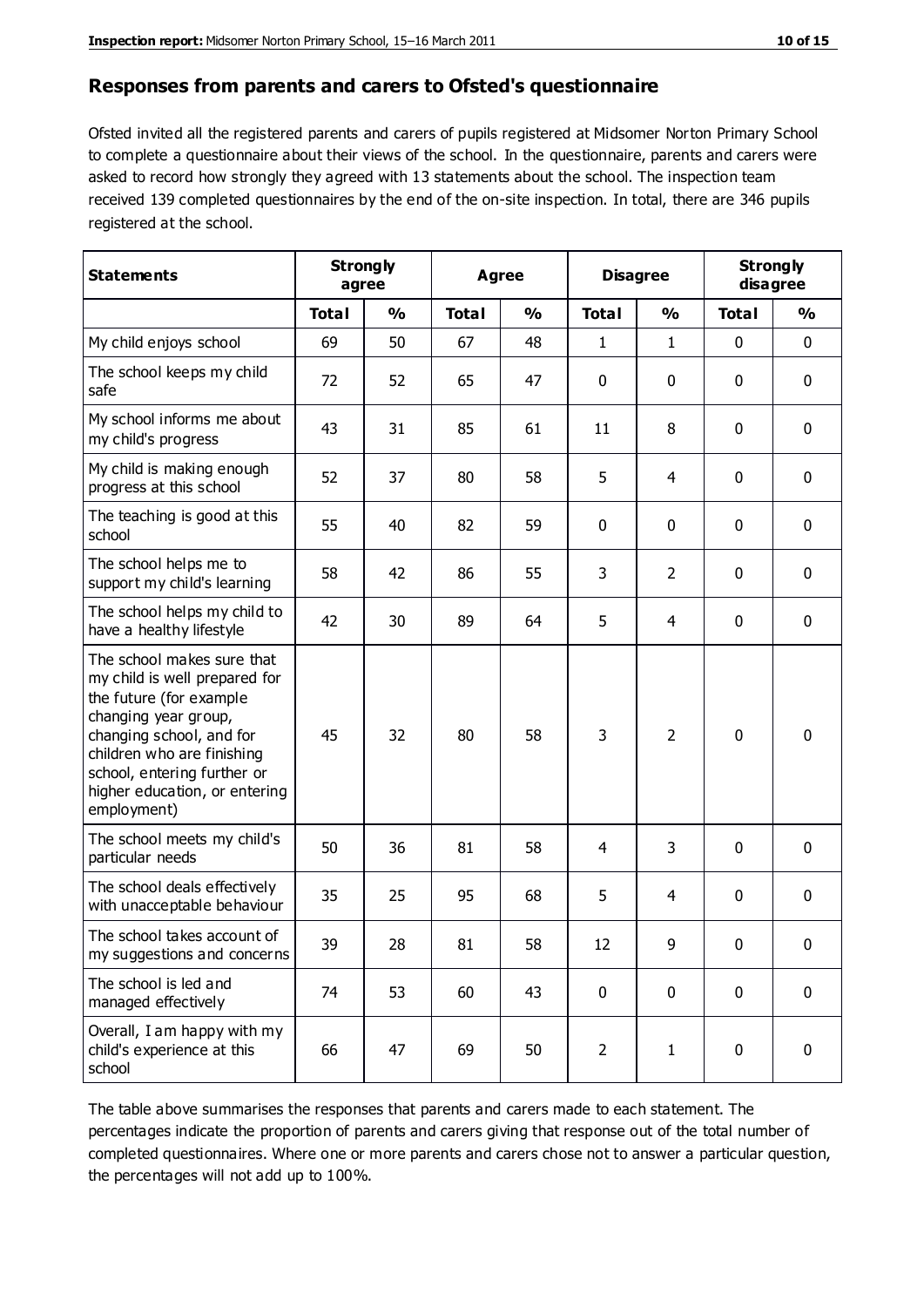#### **Responses from parents and carers to Ofsted's questionnaire**

Ofsted invited all the registered parents and carers of pupils registered at Midsomer Norton Primary School to complete a questionnaire about their views of the school. In the questionnaire, parents and carers were asked to record how strongly they agreed with 13 statements about the school. The inspection team received 139 completed questionnaires by the end of the on-site inspection. In total, there are 346 pupils registered at the school.

| <b>Statements</b>                                                                                                                                                                                                                                       | <b>Strongly</b><br>agree |               | <b>Agree</b> |               | <b>Disagree</b> |                | <b>Strongly</b><br>disagree |               |
|---------------------------------------------------------------------------------------------------------------------------------------------------------------------------------------------------------------------------------------------------------|--------------------------|---------------|--------------|---------------|-----------------|----------------|-----------------------------|---------------|
|                                                                                                                                                                                                                                                         | <b>Total</b>             | $\frac{0}{0}$ | <b>Total</b> | $\frac{1}{2}$ | <b>Total</b>    | $\frac{0}{0}$  | <b>Total</b>                | $\frac{1}{2}$ |
| My child enjoys school                                                                                                                                                                                                                                  | 69                       | 50            | 67           | 48            | $\mathbf{1}$    | $\mathbf{1}$   | 0                           | $\mathbf 0$   |
| The school keeps my child<br>safe                                                                                                                                                                                                                       | 72                       | 52            | 65           | 47            | 0               | 0              | $\mathbf 0$                 | $\mathbf 0$   |
| My school informs me about<br>my child's progress                                                                                                                                                                                                       | 43                       | 31            | 85           | 61            | 11              | 8              | $\mathbf 0$                 | $\mathbf 0$   |
| My child is making enough<br>progress at this school                                                                                                                                                                                                    | 52                       | 37            | 80           | 58            | 5               | 4              | 0                           | $\mathbf 0$   |
| The teaching is good at this<br>school                                                                                                                                                                                                                  | 55                       | 40            | 82           | 59            | 0               | 0              | $\mathbf 0$                 | $\mathbf 0$   |
| The school helps me to<br>support my child's learning                                                                                                                                                                                                   | 58                       | 42            | 86           | 55            | 3               | $\overline{2}$ | $\mathbf 0$                 | $\mathbf 0$   |
| The school helps my child to<br>have a healthy lifestyle                                                                                                                                                                                                | 42                       | 30            | 89           | 64            | 5               | $\overline{4}$ | $\mathbf 0$                 | $\mathbf 0$   |
| The school makes sure that<br>my child is well prepared for<br>the future (for example<br>changing year group,<br>changing school, and for<br>children who are finishing<br>school, entering further or<br>higher education, or entering<br>employment) | 45                       | 32            | 80           | 58            | 3               | $\overline{2}$ | $\mathbf 0$                 | $\mathbf 0$   |
| The school meets my child's<br>particular needs                                                                                                                                                                                                         | 50                       | 36            | 81           | 58            | 4               | 3              | $\mathbf 0$                 | $\mathbf 0$   |
| The school deals effectively<br>with unacceptable behaviour                                                                                                                                                                                             | 35                       | 25            | 95           | 68            | 5               | 4              | $\mathbf 0$                 | 0             |
| The school takes account of<br>my suggestions and concerns                                                                                                                                                                                              | 39                       | 28            | 81           | 58            | 12              | 9              | 0                           | 0             |
| The school is led and<br>managed effectively                                                                                                                                                                                                            | 74                       | 53            | 60           | 43            | $\pmb{0}$       | $\mathbf 0$    | $\mathbf 0$                 | $\mathbf 0$   |
| Overall, I am happy with my<br>child's experience at this<br>school                                                                                                                                                                                     | 66                       | 47            | 69           | 50            | $\overline{2}$  | $\mathbf{1}$   | $\mathbf 0$                 | $\mathbf 0$   |

The table above summarises the responses that parents and carers made to each statement. The percentages indicate the proportion of parents and carers giving that response out of the total number of completed questionnaires. Where one or more parents and carers chose not to answer a particular question, the percentages will not add up to 100%.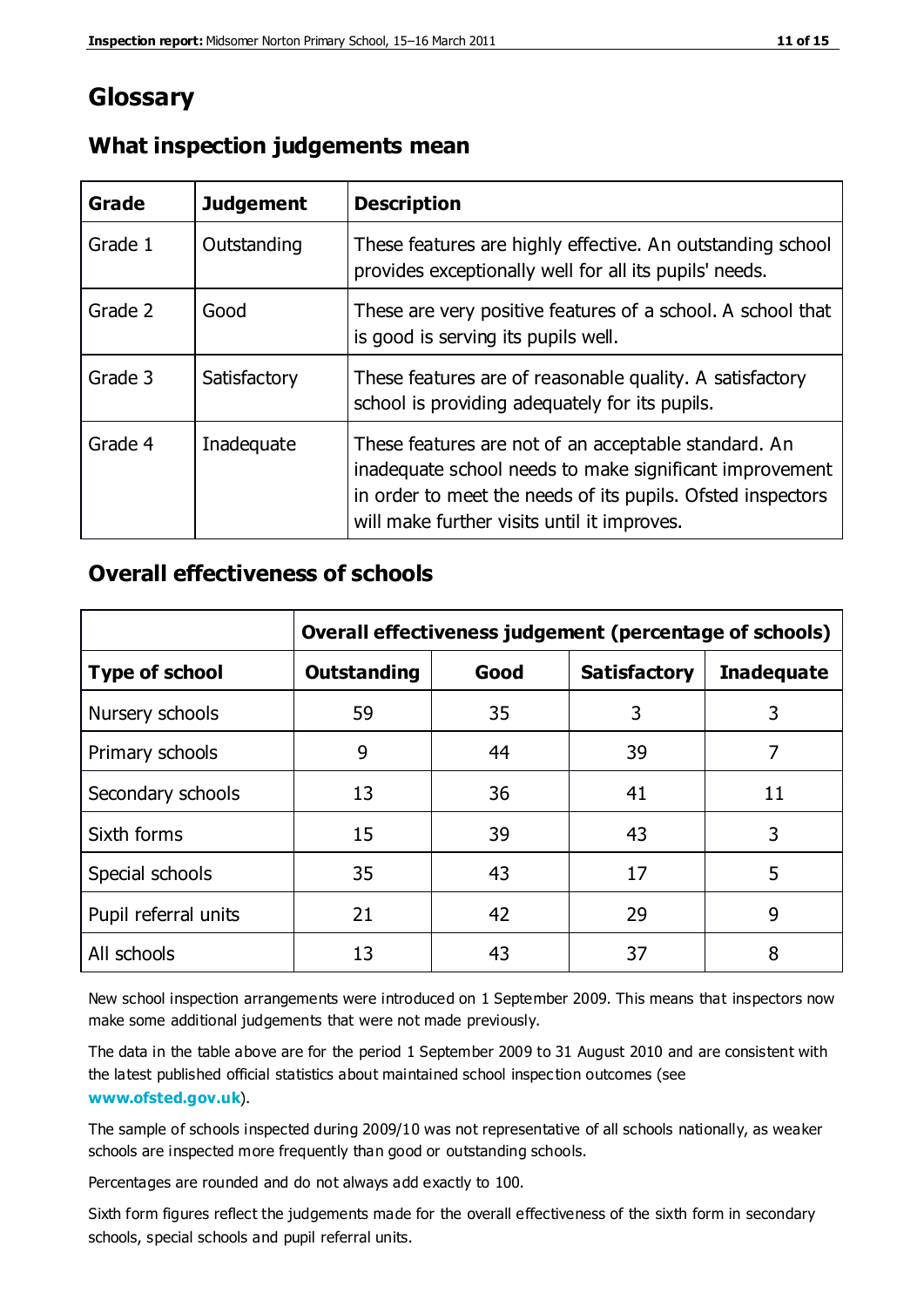## **Glossary**

| Grade   | <b>Judgement</b> | <b>Description</b>                                                                                                                                                                                                            |
|---------|------------------|-------------------------------------------------------------------------------------------------------------------------------------------------------------------------------------------------------------------------------|
| Grade 1 | Outstanding      | These features are highly effective. An outstanding school<br>provides exceptionally well for all its pupils' needs.                                                                                                          |
| Grade 2 | Good             | These are very positive features of a school. A school that<br>is good is serving its pupils well.                                                                                                                            |
| Grade 3 | Satisfactory     | These features are of reasonable quality. A satisfactory<br>school is providing adequately for its pupils.                                                                                                                    |
| Grade 4 | Inadequate       | These features are not of an acceptable standard. An<br>inadequate school needs to make significant improvement<br>in order to meet the needs of its pupils. Ofsted inspectors<br>will make further visits until it improves. |

#### **What inspection judgements mean**

## **Overall effectiveness of schools**

|                       | Overall effectiveness judgement (percentage of schools) |      |                     |                   |
|-----------------------|---------------------------------------------------------|------|---------------------|-------------------|
| <b>Type of school</b> | <b>Outstanding</b>                                      | Good | <b>Satisfactory</b> | <b>Inadequate</b> |
| Nursery schools       | 59                                                      | 35   | 3                   | 3                 |
| Primary schools       | 9                                                       | 44   | 39                  | 7                 |
| Secondary schools     | 13                                                      | 36   | 41                  | 11                |
| Sixth forms           | 15                                                      | 39   | 43                  | 3                 |
| Special schools       | 35                                                      | 43   | 17                  | 5                 |
| Pupil referral units  | 21                                                      | 42   | 29                  | 9                 |
| All schools           | 13                                                      | 43   | 37                  | 8                 |

New school inspection arrangements were introduced on 1 September 2009. This means that inspectors now make some additional judgements that were not made previously.

The data in the table above are for the period 1 September 2009 to 31 August 2010 and are consistent with the latest published official statistics about maintained school inspec tion outcomes (see **[www.ofsted.gov.uk](http://www.ofsted.gov.uk/)**).

The sample of schools inspected during 2009/10 was not representative of all schools nationally, as weaker schools are inspected more frequently than good or outstanding schools.

Percentages are rounded and do not always add exactly to 100.

Sixth form figures reflect the judgements made for the overall effectiveness of the sixth form in secondary schools, special schools and pupil referral units.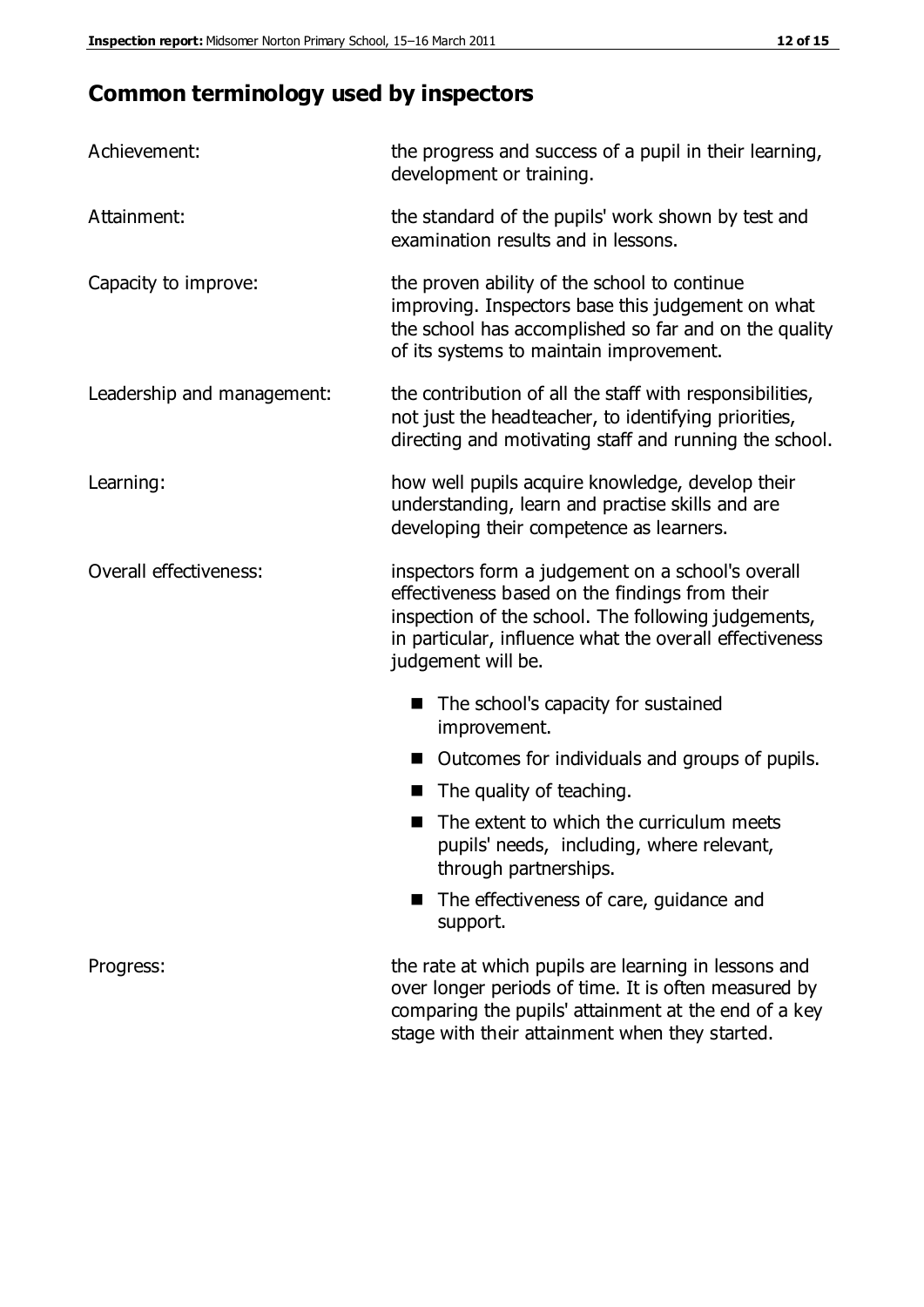## **Common terminology used by inspectors**

| Achievement:               | the progress and success of a pupil in their learning,<br>development or training.                                                                                                                                                          |  |  |
|----------------------------|---------------------------------------------------------------------------------------------------------------------------------------------------------------------------------------------------------------------------------------------|--|--|
| Attainment:                | the standard of the pupils' work shown by test and<br>examination results and in lessons.                                                                                                                                                   |  |  |
| Capacity to improve:       | the proven ability of the school to continue<br>improving. Inspectors base this judgement on what<br>the school has accomplished so far and on the quality<br>of its systems to maintain improvement.                                       |  |  |
| Leadership and management: | the contribution of all the staff with responsibilities,<br>not just the headteacher, to identifying priorities,<br>directing and motivating staff and running the school.                                                                  |  |  |
| Learning:                  | how well pupils acquire knowledge, develop their<br>understanding, learn and practise skills and are<br>developing their competence as learners.                                                                                            |  |  |
| Overall effectiveness:     | inspectors form a judgement on a school's overall<br>effectiveness based on the findings from their<br>inspection of the school. The following judgements,<br>in particular, influence what the overall effectiveness<br>judgement will be. |  |  |
|                            | The school's capacity for sustained<br>improvement.                                                                                                                                                                                         |  |  |
|                            | Outcomes for individuals and groups of pupils.                                                                                                                                                                                              |  |  |
|                            | The quality of teaching.                                                                                                                                                                                                                    |  |  |
|                            | The extent to which the curriculum meets<br>pupils' needs, including, where relevant,<br>through partnerships.                                                                                                                              |  |  |
|                            | The effectiveness of care, guidance and<br>support.                                                                                                                                                                                         |  |  |
| Progress:                  | the rate at which pupils are learning in lessons and<br>over longer periods of time. It is often measured by<br>comparing the pupils' attainment at the end of a key                                                                        |  |  |

stage with their attainment when they started.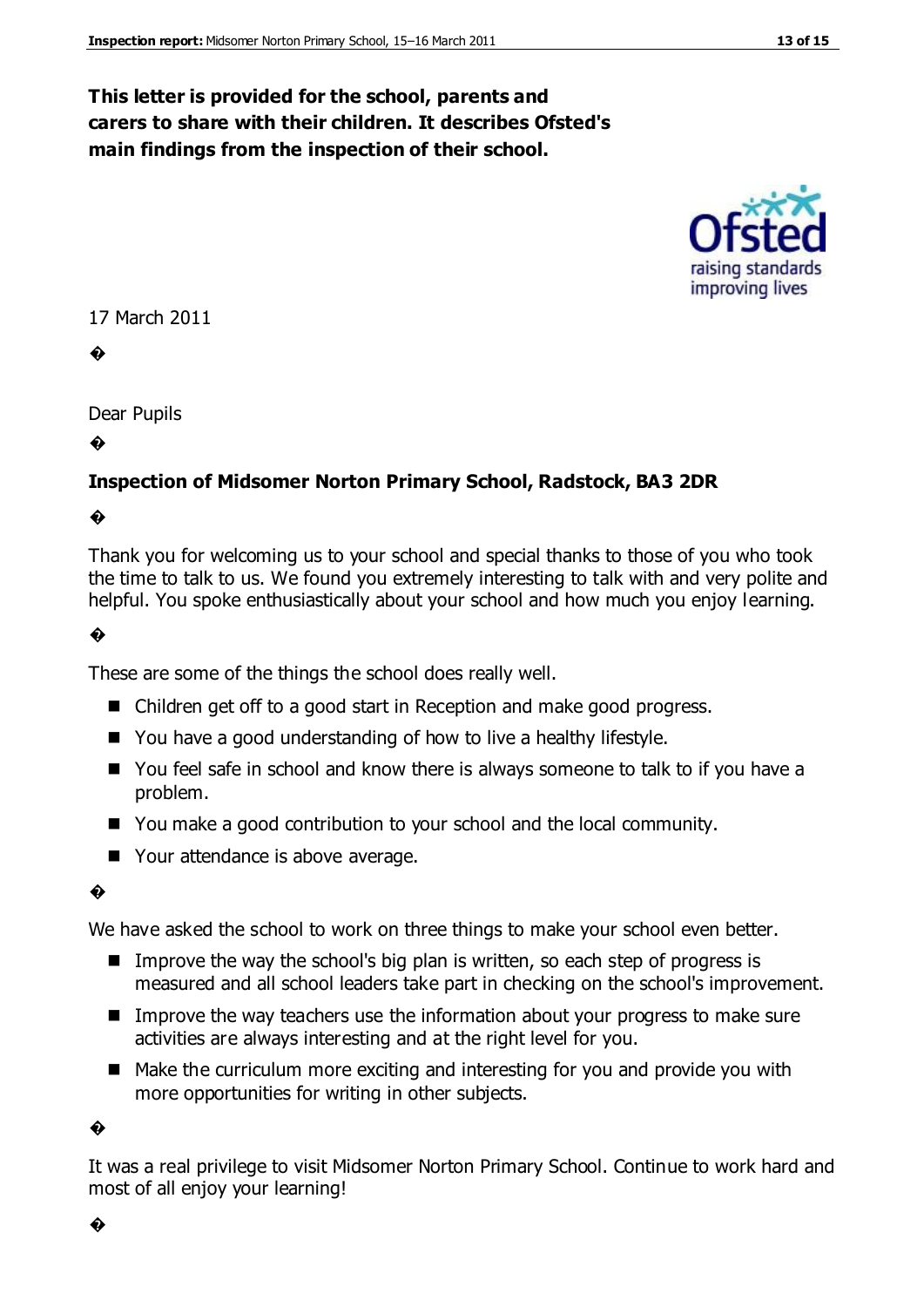## **This letter is provided for the school, parents and carers to share with their children. It describes Ofsted's main findings from the inspection of their school.**

# improving lives

#### 17 March 2011

�

Dear Pupils

�

#### **Inspection of Midsomer Norton Primary School, Radstock, BA3 2DR**

#### �

Thank you for welcoming us to your school and special thanks to those of you who took the time to talk to us. We found you extremely interesting to talk with and very polite and helpful. You spoke enthusiastically about your school and how much you enjoy learning.

#### �

These are some of the things the school does really well.

- Children get off to a good start in Reception and make good progress.
- You have a good understanding of how to live a healthy lifestyle.
- You feel safe in school and know there is always someone to talk to if you have a problem.
- You make a good contribution to your school and the local community.
- Your attendance is above average.

#### �

We have asked the school to work on three things to make your school even better.

- Improve the way the school's big plan is written, so each step of progress is measured and all school leaders take part in checking on the school's improvement.
- Improve the way teachers use the information about your progress to make sure activities are always interesting and at the right level for you.
- Make the curriculum more exciting and interesting for you and provide you with more opportunities for writing in other subjects.

�

It was a real privilege to visit Midsomer Norton Primary School. Continue to work hard and most of all enjoy your learning!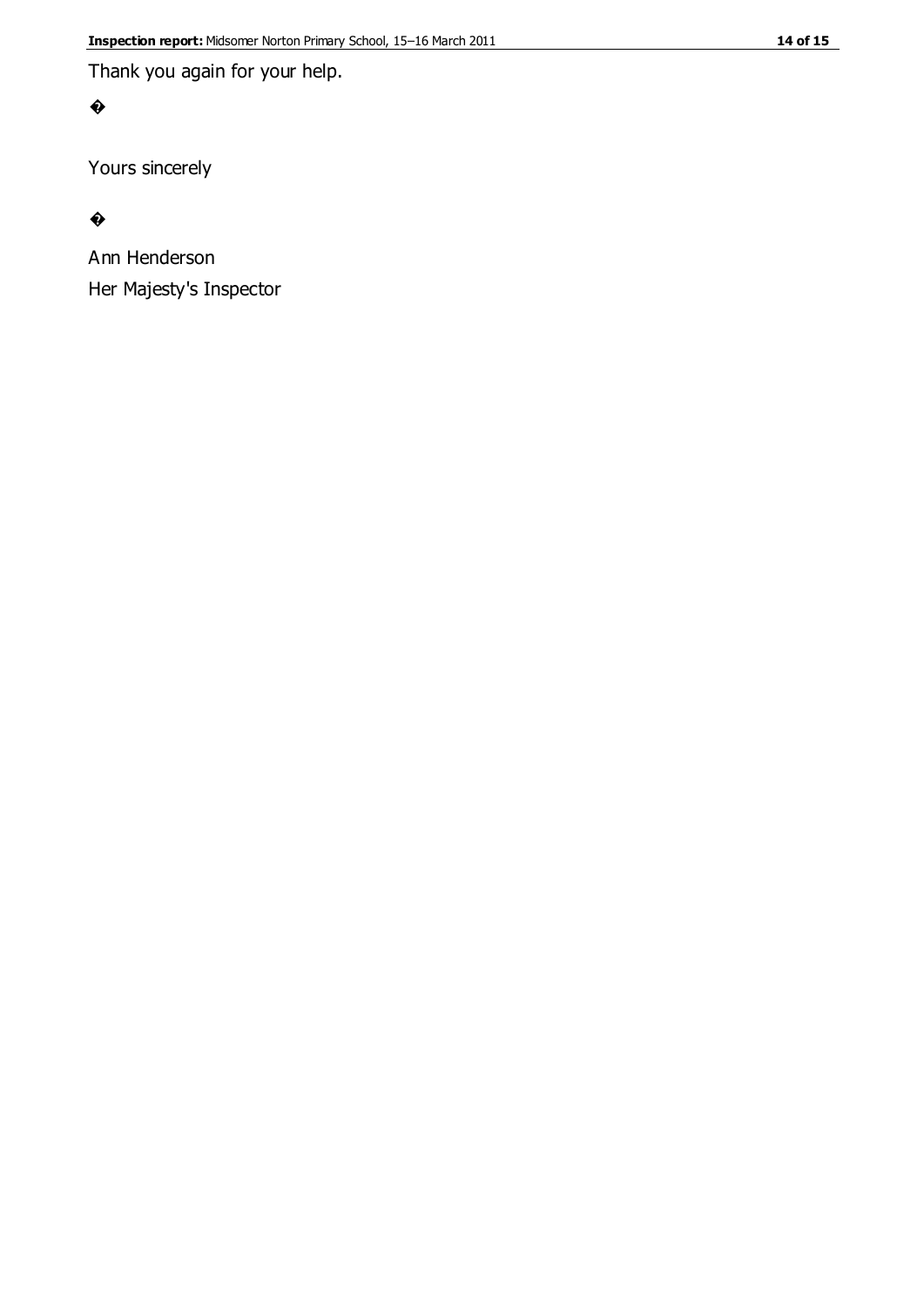Thank you again for your help.

#### �

Yours sincerely

#### $\bullet$

Ann Henderson Her Majesty's Inspector